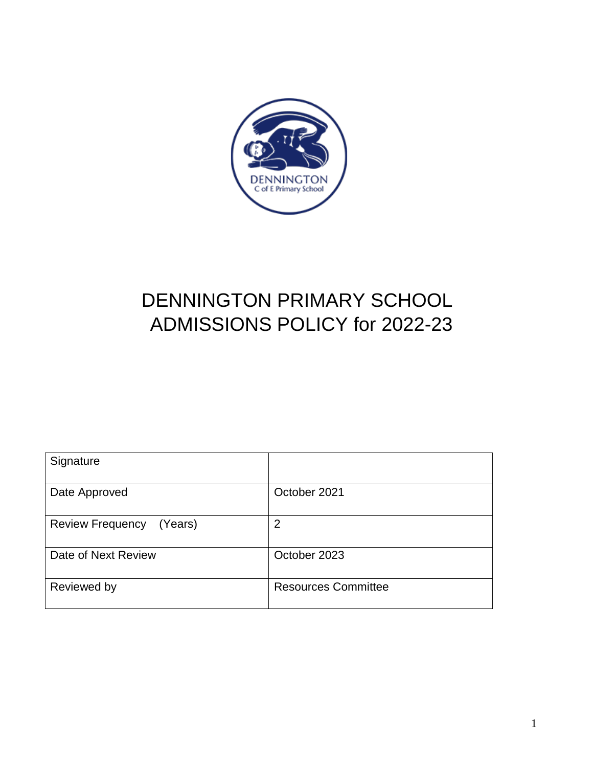

# DENNINGTON PRIMARY SCHOOL ADMISSIONS POLICY for 2022-23

| Signature                          |                            |
|------------------------------------|----------------------------|
| Date Approved                      | October 2021               |
| <b>Review Frequency</b><br>(Years) | 2                          |
| Date of Next Review                | October 2023               |
| Reviewed by                        | <b>Resources Committee</b> |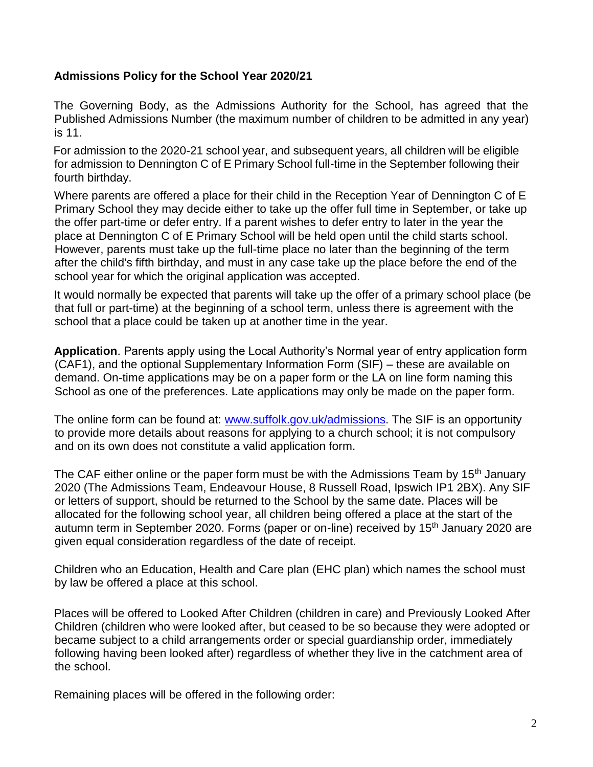#### **Admissions Policy for the School Year 2020/21**

The Governing Body, as the Admissions Authority for the School, has agreed that the Published Admissions Number (the maximum number of children to be admitted in any year) is 11.

For admission to the 2020-21 school year, and subsequent years, all children will be eligible for admission to Dennington C of E Primary School full-time in the September following their fourth birthday.

Where parents are offered a place for their child in the Reception Year of Dennington C of E Primary School they may decide either to take up the offer full time in September, or take up the offer part-time or defer entry. If a parent wishes to defer entry to later in the year the place at Dennington C of E Primary School will be held open until the child starts school. However, parents must take up the full-time place no later than the beginning of the term after the child's fifth birthday, and must in any case take up the place before the end of the school year for which the original application was accepted.

It would normally be expected that parents will take up the offer of a primary school place (be that full or part-time) at the beginning of a school term, unless there is agreement with the school that a place could be taken up at another time in the year.

**Application**. Parents apply using the Local Authority's Normal year of entry application form (CAF1), and the optional Supplementary Information Form (SIF) – these are available on demand. On-time applications may be on a paper form or the LA on line form naming this School as one of the preferences. Late applications may only be made on the paper form.

The online form can be found at: www.suffolk.gov.uk/admissions. The SIF is an opportunity to provide more details about reasons for applying to a church school; it is not compulsory and on its own does not constitute a valid application form.

The CAF either online or the paper form must be with the Admissions Team by 15<sup>th</sup> January 2020 (The Admissions Team, Endeavour House, 8 Russell Road, Ipswich IP1 2BX). Any SIF or letters of support, should be returned to the School by the same date. Places will be allocated for the following school year, all children being offered a place at the start of the autumn term in September 2020. Forms (paper or on-line) received by 15<sup>th</sup> January 2020 are given equal consideration regardless of the date of receipt.

Children who an Education, Health and Care plan (EHC plan) which names the school must by law be offered a place at this school.

Places will be offered to Looked After Children (children in care) and Previously Looked After Children (children who were looked after, but ceased to be so because they were adopted or became subject to a child arrangements order or special guardianship order, immediately following having been looked after) regardless of whether they live in the catchment area of the school.

Remaining places will be offered in the following order: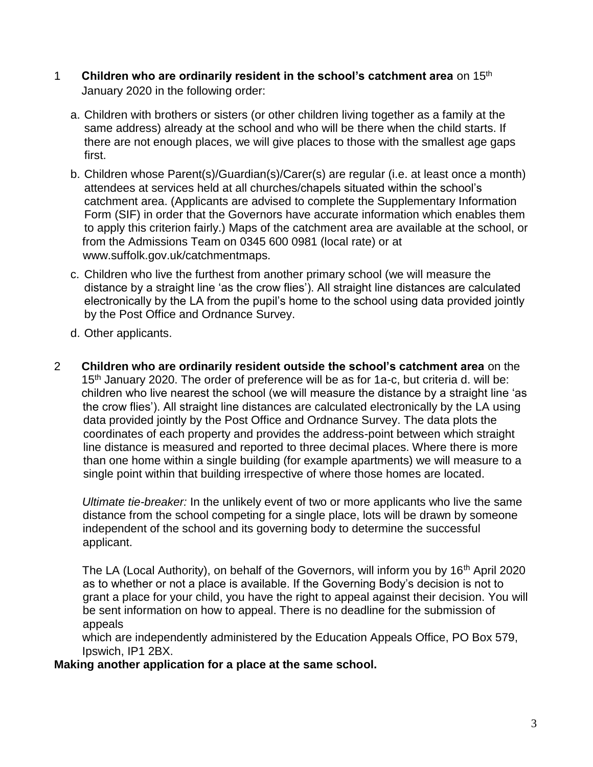- 1 **Children who are ordinarily resident in the school's catchment area** on 15th January 2020 in the following order:
	- a. Children with brothers or sisters (or other children living together as a family at the same address) already at the school and who will be there when the child starts. If there are not enough places, we will give places to those with the smallest age gaps first.
	- b. Children whose Parent(s)/Guardian(s)/Carer(s) are regular (i.e. at least once a month) attendees at services held at all churches/chapels situated within the school's catchment area. (Applicants are advised to complete the Supplementary Information Form (SIF) in order that the Governors have accurate information which enables them to apply this criterion fairly.) Maps of the catchment area are available at the school, or from the Admissions Team on 0345 600 0981 (local rate) or at www.suffolk.gov.uk/catchmentmaps.
	- c. Children who live the furthest from another primary school (we will measure the distance by a straight line 'as the crow flies'). All straight line distances are calculated electronically by the LA from the pupil's home to the school using data provided jointly by the Post Office and Ordnance Survey.
	- d. Other applicants.
- 2 **Children who are ordinarily resident outside the school's catchment area** on the 15<sup>th</sup> January 2020. The order of preference will be as for 1a-c, but criteria d. will be: children who live nearest the school (we will measure the distance by a straight line 'as the crow flies'). All straight line distances are calculated electronically by the LA using data provided jointly by the Post Office and Ordnance Survey. The data plots the coordinates of each property and provides the address-point between which straight line distance is measured and reported to three decimal places. Where there is more than one home within a single building (for example apartments) we will measure to a single point within that building irrespective of where those homes are located.

*Ultimate tie-breaker:* In the unlikely event of two or more applicants who live the same distance from the school competing for a single place, lots will be drawn by someone independent of the school and its governing body to determine the successful applicant.

The LA (Local Authority), on behalf of the Governors, will inform you by 16<sup>th</sup> April 2020 as to whether or not a place is available. If the Governing Body's decision is not to grant a place for your child, you have the right to appeal against their decision. You will be sent information on how to appeal. There is no deadline for the submission of appeals

which are independently administered by the Education Appeals Office, PO Box 579, Ipswich, IP1 2BX.

## **Making another application for a place at the same school.**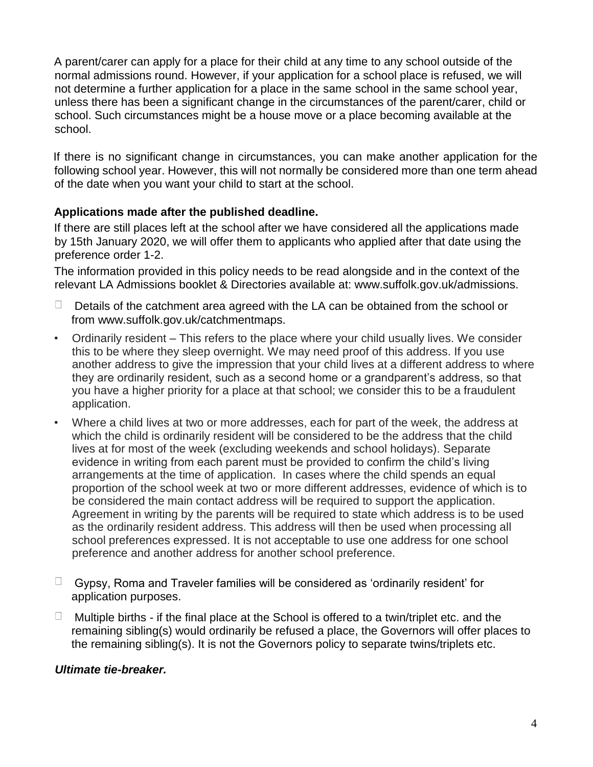A parent/carer can apply for a place for their child at any time to any school outside of the normal admissions round. However, if your application for a school place is refused, we will not determine a further application for a place in the same school in the same school year, unless there has been a significant change in the circumstances of the parent/carer, child or school. Such circumstances might be a house move or a place becoming available at the school.

If there is no significant change in circumstances, you can make another application for the following school year. However, this will not normally be considered more than one term ahead of the date when you want your child to start at the school.

## **Applications made after the published deadline.**

If there are still places left at the school after we have considered all the applications made by 15th January 2020, we will offer them to applicants who applied after that date using the preference order 1-2.

The information provided in this policy needs to be read alongside and in the context of the relevant LA Admissions booklet & Directories available at: www.suffolk.gov.uk/admissions.

- $\Box$ Details of the catchment area agreed with the LA can be obtained from the school or from www.suffolk.gov.uk/catchmentmaps.
- Ordinarily resident This refers to the place where your child usually lives. We consider this to be where they sleep overnight. We may need proof of this address. If you use another address to give the impression that your child lives at a different address to where they are ordinarily resident, such as a second home or a grandparent's address, so that you have a higher priority for a place at that school; we consider this to be a fraudulent application.
- Where a child lives at two or more addresses, each for part of the week, the address at which the child is ordinarily resident will be considered to be the address that the child lives at for most of the week (excluding weekends and school holidays). Separate evidence in writing from each parent must be provided to confirm the child's living arrangements at the time of application. In cases where the child spends an equal proportion of the school week at two or more different addresses, evidence of which is to be considered the main contact address will be required to support the application. Agreement in writing by the parents will be required to state which address is to be used as the ordinarily resident address. This address will then be used when processing all school preferences expressed. It is not acceptable to use one address for one school preference and another address for another school preference.
- $\Box$  Gypsy, Roma and Traveler families will be considered as 'ordinarily resident' for application purposes.
- $\Box$  Multiple births if the final place at the School is offered to a twin/triplet etc. and the remaining sibling(s) would ordinarily be refused a place, the Governors will offer places to the remaining sibling(s). It is not the Governors policy to separate twins/triplets etc.

## *Ultimate tie-breaker.*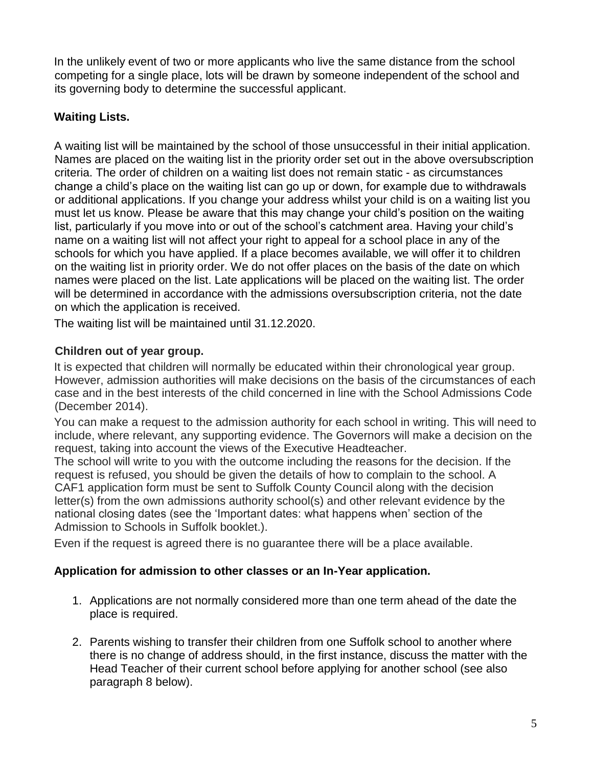In the unlikely event of two or more applicants who live the same distance from the school competing for a single place, lots will be drawn by someone independent of the school and its governing body to determine the successful applicant.

## **Waiting Lists.**

A waiting list will be maintained by the school of those unsuccessful in their initial application. Names are placed on the waiting list in the priority order set out in the above oversubscription criteria. The order of children on a waiting list does not remain static - as circumstances change a child's place on the waiting list can go up or down, for example due to withdrawals or additional applications. If you change your address whilst your child is on a waiting list you must let us know. Please be aware that this may change your child's position on the waiting list, particularly if you move into or out of the school's catchment area. Having your child's name on a waiting list will not affect your right to appeal for a school place in any of the schools for which you have applied. If a place becomes available, we will offer it to children on the waiting list in priority order. We do not offer places on the basis of the date on which names were placed on the list. Late applications will be placed on the waiting list. The order will be determined in accordance with the admissions oversubscription criteria, not the date on which the application is received.

The waiting list will be maintained until 31.12.2020.

## **Children out of year group.**

It is expected that children will normally be educated within their chronological year group. However, admission authorities will make decisions on the basis of the circumstances of each case and in the best interests of the child concerned in line with the School Admissions Code (December 2014).

You can make a request to the admission authority for each school in writing. This will need to include, where relevant, any supporting evidence. The Governors will make a decision on the request, taking into account the views of the Executive Headteacher.

The school will write to you with the outcome including the reasons for the decision. If the request is refused, you should be given the details of how to complain to the school. A CAF1 application form must be sent to Suffolk County Council along with the decision letter(s) from the own admissions authority school(s) and other relevant evidence by the national closing dates (see the 'Important dates: what happens when' section of the Admission to Schools in Suffolk booklet.).

Even if the request is agreed there is no guarantee there will be a place available.

## **Application for admission to other classes or an In-Year application.**

- 1. Applications are not normally considered more than one term ahead of the date the place is required.
- 2. Parents wishing to transfer their children from one Suffolk school to another where there is no change of address should, in the first instance, discuss the matter with the Head Teacher of their current school before applying for another school (see also paragraph 8 below).